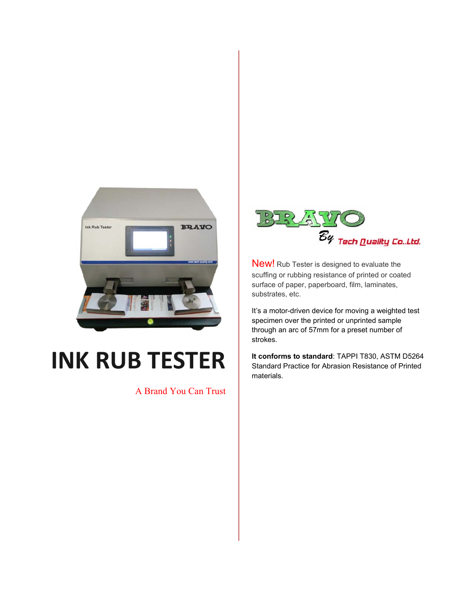

## **INK RUB TESTER**

A Brand You Can Trust



New! Rub Tester is designed to evaluate the scuffing or rubbing resistance of printed or coated surface of paper, paperboard, film, laminates, substrates, etc.

It's a motor-driven device for moving a weighted test specimen over the printed or unprinted sample through an arc of 57mm for a preset number of strokes.

**It conforms to standard**: TAPPI T830, ASTM D5264 Standard Practice for Abrasion Resistance of Printed materials.